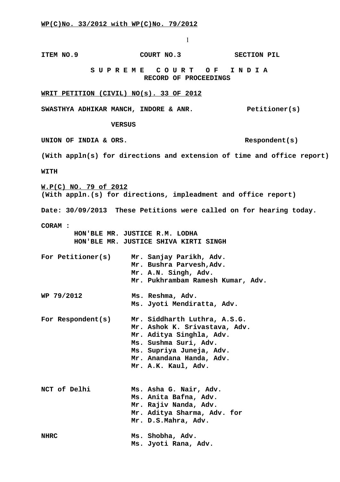**ITEM NO.9 COURT NO.3 SECTION PIL S U P R E M E C O U R T O F I N D I A RECORD OF PROCEEDINGS WRIT PETITION (CIVIL) NO(s). 33 OF 2012** SWASTHYA ADHIKAR MANCH, INDORE & ANR. Petitioner(s)  **VERSUS** UNION OF INDIA & ORS. Respondent(s) **(With appln(s) for directions and extension of time and office report) WITH W.P(C) NO. 79 of 2012 (With appln.(s) for directions, impleadment and office report) Date: 30/09/2013 These Petitions were called on for hearing today. CORAM : HON'BLE MR. JUSTICE R.M. LODHA HON'BLE MR. JUSTICE SHIVA KIRTI SINGH For Petitioner(s) Mr. Sanjay Parikh, Adv. Mr. Bushra Parvesh,Adv. Mr. A.N. Singh, Adv. Mr. Pukhrambam Ramesh Kumar, Adv. WP 79/2012 Ms. Reshma, Adv. Ms. Jyoti Mendiratta, Adv. For Respondent(s) Mr. Siddharth Luthra, A.S.G. Mr. Ashok K. Srivastava, Adv. Mr. Aditya Singhla, Adv. Ms. Sushma Suri, Adv. Ms. Supriya Juneja, Adv. Mr. Anandana Handa, Adv. Mr. A.K. Kaul, Adv. NCT of Delhi Ms. Asha G. Nair, Adv. Ms. Anita Bafna, Adv. Mr. Rajiv Nanda, Adv. Mr. Aditya Sharma, Adv. for Mr. D.S.Mahra, Adv. NHRC Ms. Shobha, Adv. Ms. Jyoti Rana, Adv.**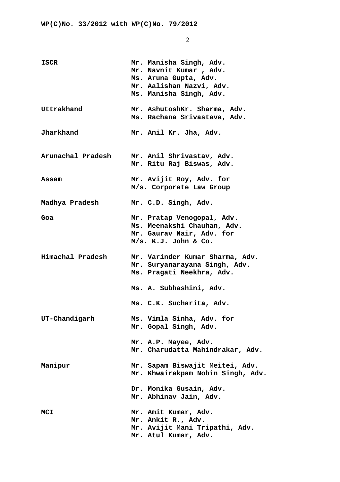| ISCR              | Mr. Manisha Singh, Adv.<br>Mr. Navnit Kumar, Adv.<br>Ms. Aruna Gupta, Adv.<br>Mr. Aalishan Nazvi, Adv.<br>Ms. Manisha Singh, Adv. |
|-------------------|-----------------------------------------------------------------------------------------------------------------------------------|
| Uttrakhand        | Mr. AshutoshKr. Sharma, Adv.<br>Ms. Rachana Srivastava, Adv.                                                                      |
| Jharkhand         | Mr. Anil Kr. Jha, Adv.                                                                                                            |
| Arunachal Pradesh | Mr. Anil Shrivastav, Adv.<br>Mr. Ritu Raj Biswas, Adv.                                                                            |
| Assam             | Mr. Avijit Roy, Adv. for<br>M/s. Corporate Law Group                                                                              |
| Madhya Pradesh    | Mr. C.D. Singh, Adv.                                                                                                              |
| Goa               | Mr. Pratap Venogopal, Adv.<br>Ms. Meenakshi Chauhan, Adv.<br>Mr. Gaurav Nair, Adv. for<br>M/s. K.J. John & Co.                    |
| Himachal Pradesh  | Mr. Varinder Kumar Sharma, Adv.<br>Mr. Suryanarayana Singh, Adv.<br>Ms. Pragati Neekhra, Adv.                                     |
|                   | Ms. A. Subhashini, Adv.                                                                                                           |
|                   | Ms. C.K. Sucharita, Adv.                                                                                                          |
| UT-Chandigarh     | Ms. Vimla Sinha, Adv. for<br>Mr. Gopal Singh, Adv.                                                                                |
|                   | Mr. A.P. Mayee, Adv.<br>Mr. Charudatta Mahindrakar, Adv.                                                                          |
| Manipur           | Mr. Sapam Biswajit Meitei, Adv.<br>Mr. Khwairakpam Nobin Singh, Adv.                                                              |
|                   | Dr. Monika Gusain, Adv.<br>Mr. Abhinav Jain, Adv.                                                                                 |
| <b>MCI</b>        | Mr. Amit Kumar, Adv.<br>Mr. Ankit R., Adv.<br>Mr. Avijit Mani Tripathi, Adv.<br>Mr. Atul Kumar, Adv.                              |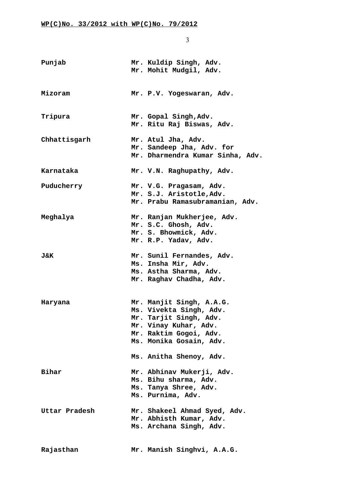| Punjab        | Mr. Kuldip Singh, Adv.<br>Mr. Mohit Mudgil, Adv.                                                                                                                                       |
|---------------|----------------------------------------------------------------------------------------------------------------------------------------------------------------------------------------|
| Mizoram       | Mr. P.V. Yogeswaran, Adv.                                                                                                                                                              |
| Tripura       | Mr. Gopal Singh, Adv.<br>Mr. Ritu Raj Biswas, Adv.                                                                                                                                     |
| Chhattisgarh  | Mr. Atul Jha, Adv.<br>Mr. Sandeep Jha, Adv. for<br>Mr. Dharmendra Kumar Sinha, Adv.                                                                                                    |
| Karnataka     | Mr. V.N. Raghupathy, Adv.                                                                                                                                                              |
| Puducherry    | Mr. V.G. Pragasam, Adv.<br>Mr. S.J. Aristotle, Adv.<br>Mr. Prabu Ramasubramanian, Adv.                                                                                                 |
| Meghalya      | Mr. Ranjan Mukherjee, Adv.<br>Mr. S.C. Ghosh, Adv.<br>Mr. S. Bhowmick, Adv.<br>Mr. R.P. Yadav, Adv.                                                                                    |
| J&K           | Mr. Sunil Fernandes, Adv.<br>Ms. Insha Mir, Adv.<br>Ms. Astha Sharma, Adv.<br>Mr. Raghav Chadha, Adv.                                                                                  |
| Haryana       | Mr. Manjit Singh, A.A.G.<br>Ms. Vivekta Singh, Adv.<br>Mr. Tarjit Singh, Adv.<br>Mr. Vinay Kuhar, Adv.<br>Mr. Raktim Gogoi, Adv.<br>Ms. Monika Gosain, Adv.<br>Ms. Anitha Shenoy, Adv. |
| Bihar         | Mr. Abhinav Mukerji, Adv.<br>Ms. Bihu sharma, Adv.<br>Ms. Tanya Shree, Adv.<br>Ms. Purnima, Adv.                                                                                       |
| Uttar Pradesh | Mr. Shakeel Ahmad Syed, Adv.<br>Mr. Abhisth Kumar, Adv.<br>Ms. Archana Singh, Adv.                                                                                                     |
| Rajasthan     | Mr. Manish Singhvi, A.A.G.                                                                                                                                                             |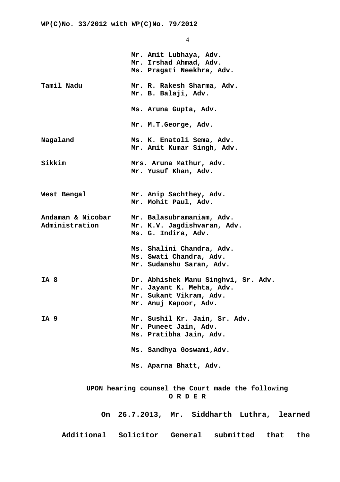|                                     | Mr. Amit Lubhaya, Adv.<br>Mr. Irshad Ahmad, Adv.<br>Ms. Pragati Neekhra, Adv.                                        |
|-------------------------------------|----------------------------------------------------------------------------------------------------------------------|
| Tamil Nadu                          | Mr. R. Rakesh Sharma, Adv.<br>Mr. B. Balaji, Adv.                                                                    |
|                                     | Ms. Aruna Gupta, Adv.                                                                                                |
|                                     | Mr. M.T.George, Adv.                                                                                                 |
| Nagaland                            | Ms. K. Enatoli Sema, Adv.<br>Mr. Amit Kumar Singh, Adv.                                                              |
| Sikkim                              | Mrs. Aruna Mathur, Adv.<br>Mr. Yusuf Khan, Adv.                                                                      |
| West Bengal                         | Mr. Anip Sachthey, Adv.<br>Mr. Mohit Paul, Adv.                                                                      |
| Andaman & Nicobar<br>Administration | Mr. Balasubramaniam, Adv.<br>Mr. K.V. Jagdishvaran, Adv.<br>Ms. G. Indira, Adv.                                      |
|                                     | Ms. Shalini Chandra, Adv.<br>Ms. Swati Chandra, Adv.<br>Mr. Sudanshu Saran, Adv.                                     |
| IA 8                                | Dr. Abhishek Manu Singhvi, Sr. Adv.<br>Mr. Jayant K. Mehta, Adv.<br>Mr. Sukant Vikram, Adv.<br>Mr. Anuj Kapoor, Adv. |
| IA 9                                | Mr. Sushil Kr. Jain, Sr. Adv.<br>Mr. Puneet Jain, Adv.<br>Ms. Pratibha Jain, Adv.                                    |
|                                     | Ms. Sandhya Goswami, Adv.                                                                                            |
|                                     | Ms. Aparna Bhatt, Adv.                                                                                               |
|                                     | UPON hearing counsel the Court made the following<br>ORDER                                                           |
|                                     | On 26.7.2013, Mr. Siddharth Luthra, learned                                                                          |
|                                     | Additional Solicitor General submitted that the                                                                      |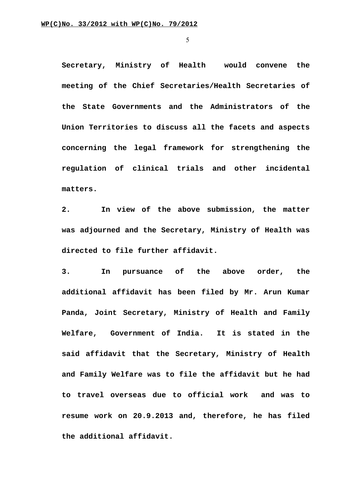**Secretary, Ministry of Health would convene the meeting of the Chief Secretaries/Health Secretaries of the State Governments and the Administrators of the Union Territories to discuss all the facets and aspects concerning the legal framework for strengthening the regulation of clinical trials and other incidental matters.**

**2. In view of the above submission, the matter was adjourned and the Secretary, Ministry of Health was directed to file further affidavit.**

**3. In pursuance of the above order, the additional affidavit has been filed by Mr. Arun Kumar Panda, Joint Secretary, Ministry of Health and Family Welfare, Government of India. It is stated in the said affidavit that the Secretary, Ministry of Health and Family Welfare was to file the affidavit but he had to travel overseas due to official work and was to resume work on 20.9.2013 and, therefore, he has filed the additional affidavit.**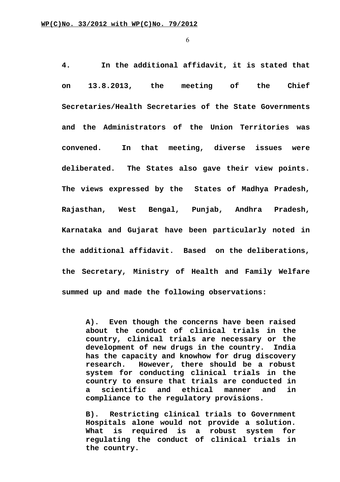**4. In the additional affidavit, it is stated that on 13.8.2013, the meeting of the Chief Secretaries/Health Secretaries of the State Governments and the Administrators of the Union Territories was convened. In that meeting, diverse issues were deliberated. The States also gave their view points. The views expressed by the States of Madhya Pradesh, Rajasthan, West Bengal, Punjab, Andhra Pradesh, Karnataka and Gujarat have been particularly noted in the additional affidavit. Based on the deliberations, the Secretary, Ministry of Health and Family Welfare summed up and made the following observations:**

**A). Even though the concerns have been raised about the conduct of clinical trials in the country, clinical trials are necessary or the development of new drugs in the country. India has the capacity and knowhow for drug discovery research. However, there should be a robust system for conducting clinical trials in the country to ensure that trials are conducted in a scientific and ethical manner and in compliance to the regulatory provisions.**

**B). Restricting clinical trials to Government Hospitals alone would not provide a solution. What is required is a robust system for regulating the conduct of clinical trials in the country.**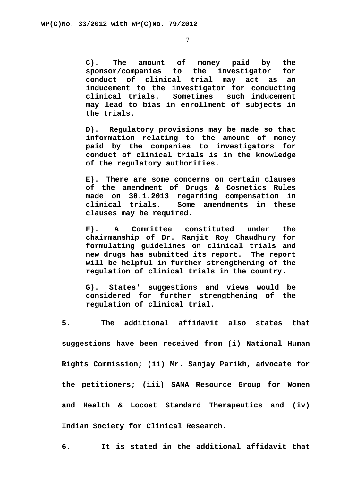**C). The amount of money paid by the sponsor/companies to the investigator for conduct of clinical trial may act as an inducement to the investigator for conducting clinical trials. Sometimes such inducement may lead to bias in enrollment of subjects in the trials.**

**D). Regulatory provisions may be made so that information relating to the amount of money paid by the companies to investigators for conduct of clinical trials is in the knowledge of the regulatory authorities.**

**E). There are some concerns on certain clauses of the amendment of Drugs & Cosmetics Rules made on 30.1.2013 regarding compensation in clinical trials. Some amendments in these clauses may be required.**

**F). A Committee constituted under the chairmanship of Dr. Ranjit Roy Chaudhury for formulating guidelines on clinical trials and new drugs has submitted its report. The report will be helpful in further strengthening of the regulation of clinical trials in the country.**

**G). States' suggestions and views would be considered for further strengthening of the regulation of clinical trial.** 

**5. The additional affidavit also states that suggestions have been received from (i) National Human Rights Commission; (ii) Mr. Sanjay Parikh, advocate for the petitioners; (iii) SAMA Resource Group for Women and Health & Locost Standard Therapeutics and (iv) Indian Society for Clinical Research.**

**6. It is stated in the additional affidavit that**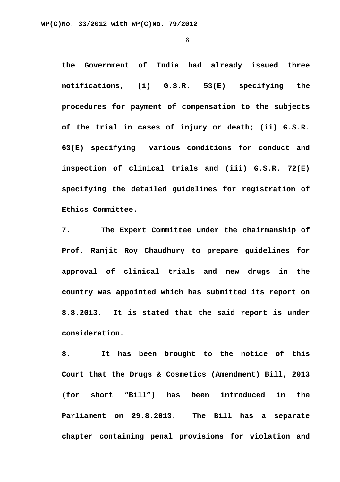**the Government of India had already issued three notifications, (i) G.S.R. 53(E) specifying the procedures for payment of compensation to the subjects of the trial in cases of injury or death; (ii) G.S.R. 63(E) specifying various conditions for conduct and inspection of clinical trials and (iii) G.S.R. 72(E) specifying the detailed guidelines for registration of Ethics Committee.**

**7. The Expert Committee under the chairmanship of Prof. Ranjit Roy Chaudhury to prepare guidelines for approval of clinical trials and new drugs in the country was appointed which has submitted its report on 8.8.2013. It is stated that the said report is under consideration.**

**8. It has been brought to the notice of this Court that the Drugs & Cosmetics (Amendment) Bill, 2013 (for short "Bill") has been introduced in the Parliament on 29.8.2013. The Bill has a separate chapter containing penal provisions for violation and**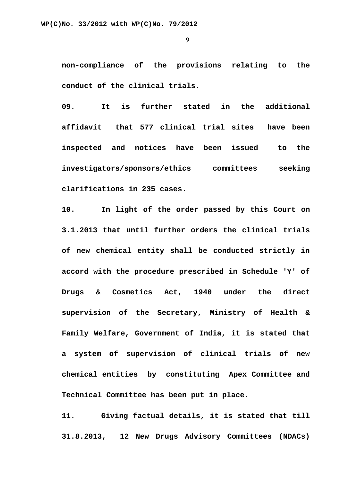**non-compliance of the provisions relating to the conduct of the clinical trials.**

**09. It is further stated in the additional affidavit that 577 clinical trial sites have been inspected and notices have been issued to the investigators/sponsors/ethics committees seeking clarifications in 235 cases.**

**10. In light of the order passed by this Court on 3.1.2013 that until further orders the clinical trials of new chemical entity shall be conducted strictly in accord with the procedure prescribed in Schedule 'Y' of Drugs & Cosmetics Act, 1940 under the direct supervision of the Secretary, Ministry of Health & Family Welfare, Government of India, it is stated that a system of supervision of clinical trials of new chemical entities by constituting Apex Committee and Technical Committee has been put in place.**

**11. Giving factual details, it is stated that till 31.8.2013, 12 New Drugs Advisory Committees (NDACs)**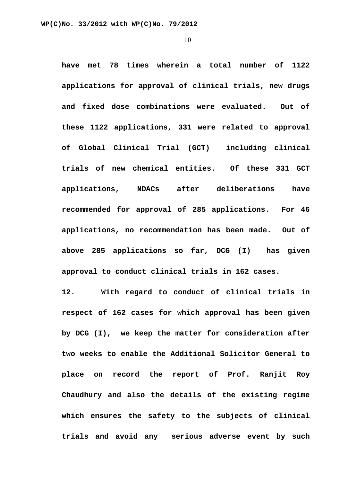**have met 78 times wherein a total number of 1122 applications for approval of clinical trials, new drugs and fixed dose combinations were evaluated. Out of these 1122 applications, 331 were related to approval of Global Clinical Trial (GCT) including clinical trials of new chemical entities. Of these 331 GCT applications, NDACs after deliberations have recommended for approval of 285 applications. For 46 applications, no recommendation has been made. Out of above 285 applications so far, DCG (I) has given approval to conduct clinical trials in 162 cases.**

**12. With regard to conduct of clinical trials in respect of 162 cases for which approval has been given by DCG (I), we keep the matter for consideration after two weeks to enable the Additional Solicitor General to place on record the report of Prof. Ranjit Roy Chaudhury and also the details of the existing regime which ensures the safety to the subjects of clinical trials and avoid any serious adverse event by such**